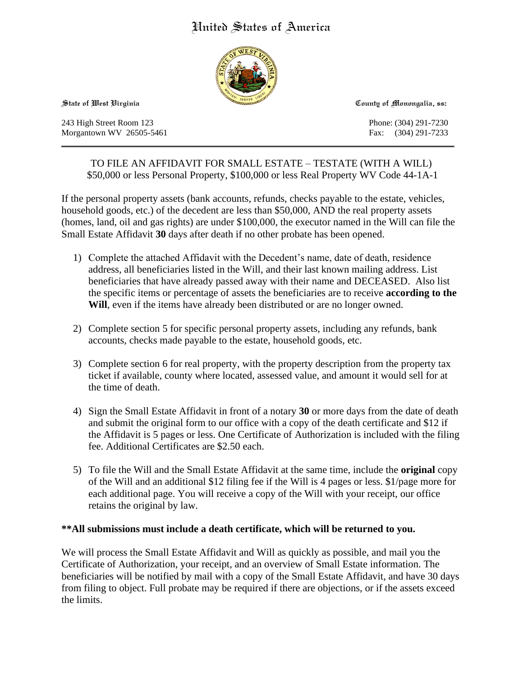# United States of America



243 High Street Room 123 Phone: (304) 291-7230 Morgantown WV 26505-5461 Fax: (304) 291-7233

**State of West Virginia County of Monongalia, ss:**

TO FILE AN AFFIDAVIT FOR SMALL ESTATE – TESTATE (WITH A WILL) \$50,000 or less Personal Property, \$100,000 or less Real Property WV Code 44-1A-1

 $\mathcal{L}_\mathcal{L} = \{ \mathcal{L}_\mathcal{L} = \{ \mathcal{L}_\mathcal{L} = \{ \mathcal{L}_\mathcal{L} = \{ \mathcal{L}_\mathcal{L} = \{ \mathcal{L}_\mathcal{L} = \{ \mathcal{L}_\mathcal{L} = \{ \mathcal{L}_\mathcal{L} = \{ \mathcal{L}_\mathcal{L} = \{ \mathcal{L}_\mathcal{L} = \{ \mathcal{L}_\mathcal{L} = \{ \mathcal{L}_\mathcal{L} = \{ \mathcal{L}_\mathcal{L} = \{ \mathcal{L}_\mathcal{L} = \{ \mathcal{L}_\mathcal{$ 

If the personal property assets (bank accounts, refunds, checks payable to the estate, vehicles, household goods, etc.) of the decedent are less than \$50,000, AND the real property assets (homes, land, oil and gas rights) are under \$100,000, the executor named in the Will can file the Small Estate Affidavit **30** days after death if no other probate has been opened.

- 1) Complete the attached Affidavit with the Decedent's name, date of death, residence address, all beneficiaries listed in the Will, and their last known mailing address. List beneficiaries that have already passed away with their name and DECEASED. Also list the specific items or percentage of assets the beneficiaries are to receive **according to the Will**, even if the items have already been distributed or are no longer owned.
- 2) Complete section 5 for specific personal property assets, including any refunds, bank accounts, checks made payable to the estate, household goods, etc.
- 3) Complete section 6 for real property, with the property description from the property tax ticket if available, county where located, assessed value, and amount it would sell for at the time of death.
- 4) Sign the Small Estate Affidavit in front of a notary **30** or more days from the date of death and submit the original form to our office with a copy of the death certificate and \$12 if the Affidavit is 5 pages or less. One Certificate of Authorization is included with the filing fee. Additional Certificates are \$2.50 each.
- 5) To file the Will and the Small Estate Affidavit at the same time, include the **original** copy of the Will and an additional \$12 filing fee if the Will is 4 pages or less. \$1/page more for each additional page. You will receive a copy of the Will with your receipt, our office retains the original by law.

# **\*\*All submissions must include a death certificate, which will be returned to you.**

We will process the Small Estate Affidavit and Will as quickly as possible, and mail you the Certificate of Authorization, your receipt, and an overview of Small Estate information. The beneficiaries will be notified by mail with a copy of the Small Estate Affidavit, and have 30 days from filing to object. Full probate may be required if there are objections, or if the assets exceed the limits.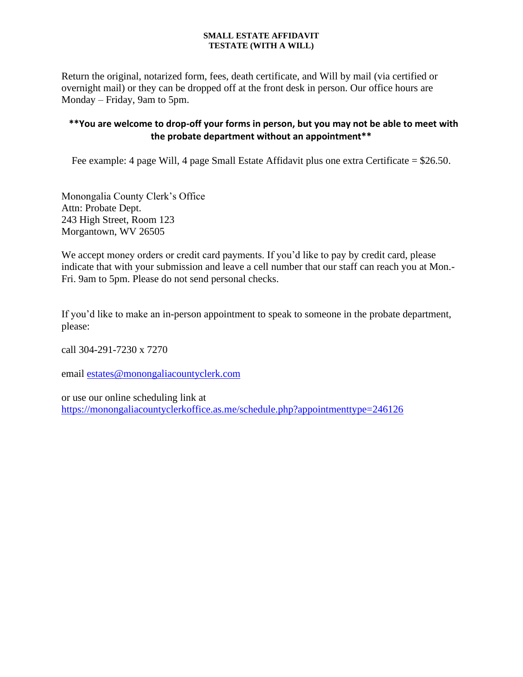Return the original, notarized form, fees, death certificate, and Will by mail (via certified or overnight mail) or they can be dropped off at the front desk in person. Our office hours are Monday – Friday, 9am to 5pm.

# **\*\*You are welcome to drop-off your forms in person, but you may not be able to meet with the probate department without an appointment\*\***

Fee example: 4 page Will, 4 page Small Estate Affidavit plus one extra Certificate = \$26.50.

Monongalia County Clerk's Office Attn: Probate Dept. 243 High Street, Room 123 Morgantown, WV 26505

We accept money orders or credit card payments. If you'd like to pay by credit card, please indicate that with your submission and leave a cell number that our staff can reach you at Mon.- Fri. 9am to 5pm. Please do not send personal checks.

If you'd like to make an in-person appointment to speak to someone in the probate department, please:

call 304-291-7230 x 7270

email [estates@monongaliacountyclerk.com](mailto:ESTATES@MONONGALIACOUNTYCLERK.COM)

or use our online scheduling link at [https://monongaliacountyclerkoffice.as.me/schedule.php?appointmenttype=246126](https://monongaliacountyclerkoffice.as.me/schedule.php?appointmentType=246126)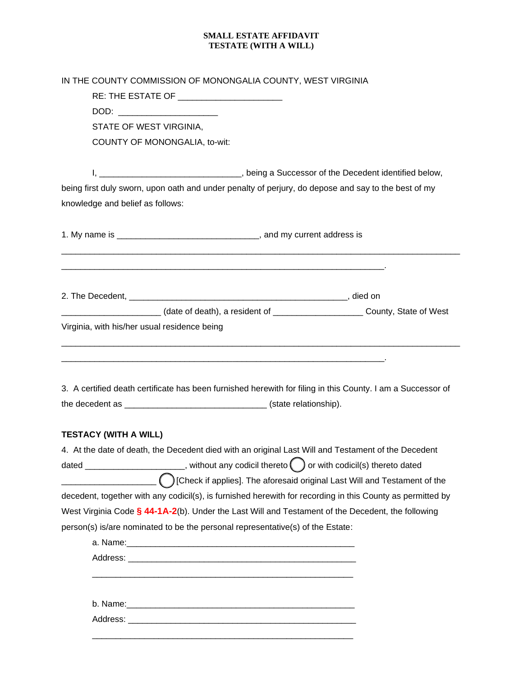| IN THE COUNTY COMMISSION OF MONONGALIA COUNTY, WEST VIRGINIA                   |                                                                                                             |  |  |
|--------------------------------------------------------------------------------|-------------------------------------------------------------------------------------------------------------|--|--|
|                                                                                |                                                                                                             |  |  |
| DOD: ________________________                                                  |                                                                                                             |  |  |
| STATE OF WEST VIRGINIA,                                                        |                                                                                                             |  |  |
| COUNTY OF MONONGALIA, to-wit:                                                  |                                                                                                             |  |  |
|                                                                                |                                                                                                             |  |  |
|                                                                                | I, __________________________________, being a Successor of the Decedent identified below,                  |  |  |
|                                                                                | being first duly sworn, upon oath and under penalty of perjury, do depose and say to the best of my         |  |  |
| knowledge and belief as follows:                                               |                                                                                                             |  |  |
|                                                                                |                                                                                                             |  |  |
|                                                                                |                                                                                                             |  |  |
|                                                                                |                                                                                                             |  |  |
|                                                                                | County, State of West (date of death), a resident of _________________________County, State of West         |  |  |
| Virginia, with his/her usual residence being                                   |                                                                                                             |  |  |
|                                                                                |                                                                                                             |  |  |
|                                                                                |                                                                                                             |  |  |
|                                                                                | 3. A certified death certificate has been furnished herewith for filing in this County. I am a Successor of |  |  |
|                                                                                |                                                                                                             |  |  |
|                                                                                |                                                                                                             |  |  |
| <b>TESTACY (WITH A WILL)</b>                                                   |                                                                                                             |  |  |
|                                                                                | 4. At the date of death, the Decedent died with an original Last Will and Testament of the Decedent         |  |  |
|                                                                                | dated _______________________, without any codicil thereto $\bigodot$ or with codicil(s) thereto dated      |  |  |
|                                                                                | Check if applies]. The aforesaid original Last Will and Testament of the                                    |  |  |
|                                                                                | decedent, together with any codicil(s), is furnished herewith for recording in this County as permitted by  |  |  |
|                                                                                | West Virginia Code § 44-1A-2(b). Under the Last Will and Testament of the Decedent, the following           |  |  |
| person(s) is/are nominated to be the personal representative(s) of the Estate: |                                                                                                             |  |  |
|                                                                                |                                                                                                             |  |  |
|                                                                                |                                                                                                             |  |  |
|                                                                                |                                                                                                             |  |  |
|                                                                                |                                                                                                             |  |  |
|                                                                                |                                                                                                             |  |  |
|                                                                                |                                                                                                             |  |  |
|                                                                                |                                                                                                             |  |  |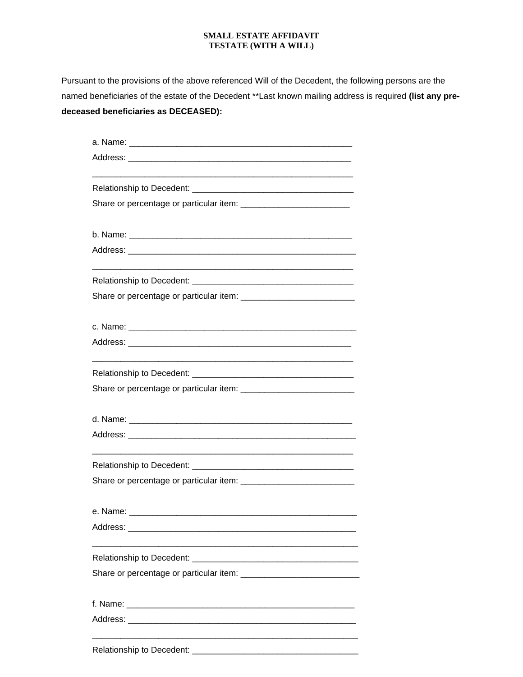Pursuant to the provisions of the above referenced Will of the Decedent, the following persons are the named beneficiaries of the estate of the Decedent \*\*Last known mailing address is required **(list any predeceased beneficiaries as DECEASED):**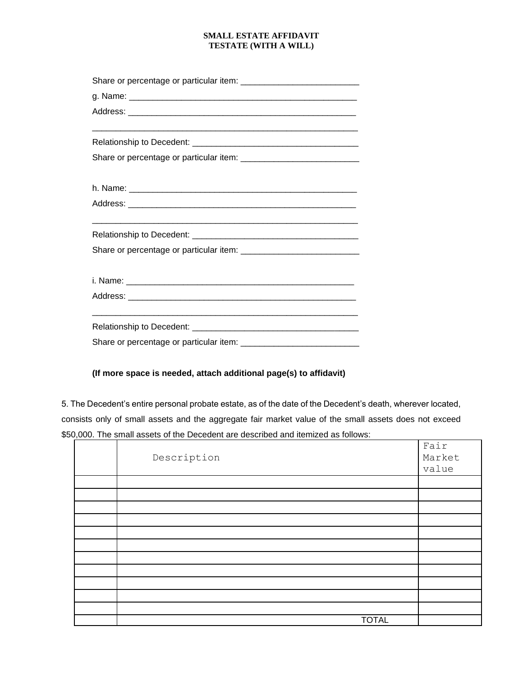# **(If more space is needed, attach additional page(s) to affidavit)**

5. The Decedent's entire personal probate estate, as of the date of the Decedent's death, wherever located, consists only of small assets and the aggregate fair market value of the small assets does not exceed \$50,000. The small assets of the Decedent are described and itemized as follows:

| Description  | Fair<br>Market<br>value |
|--------------|-------------------------|
|              |                         |
|              |                         |
|              |                         |
|              |                         |
|              |                         |
|              |                         |
|              |                         |
|              |                         |
|              |                         |
|              |                         |
|              |                         |
| <b>TOTAL</b> |                         |